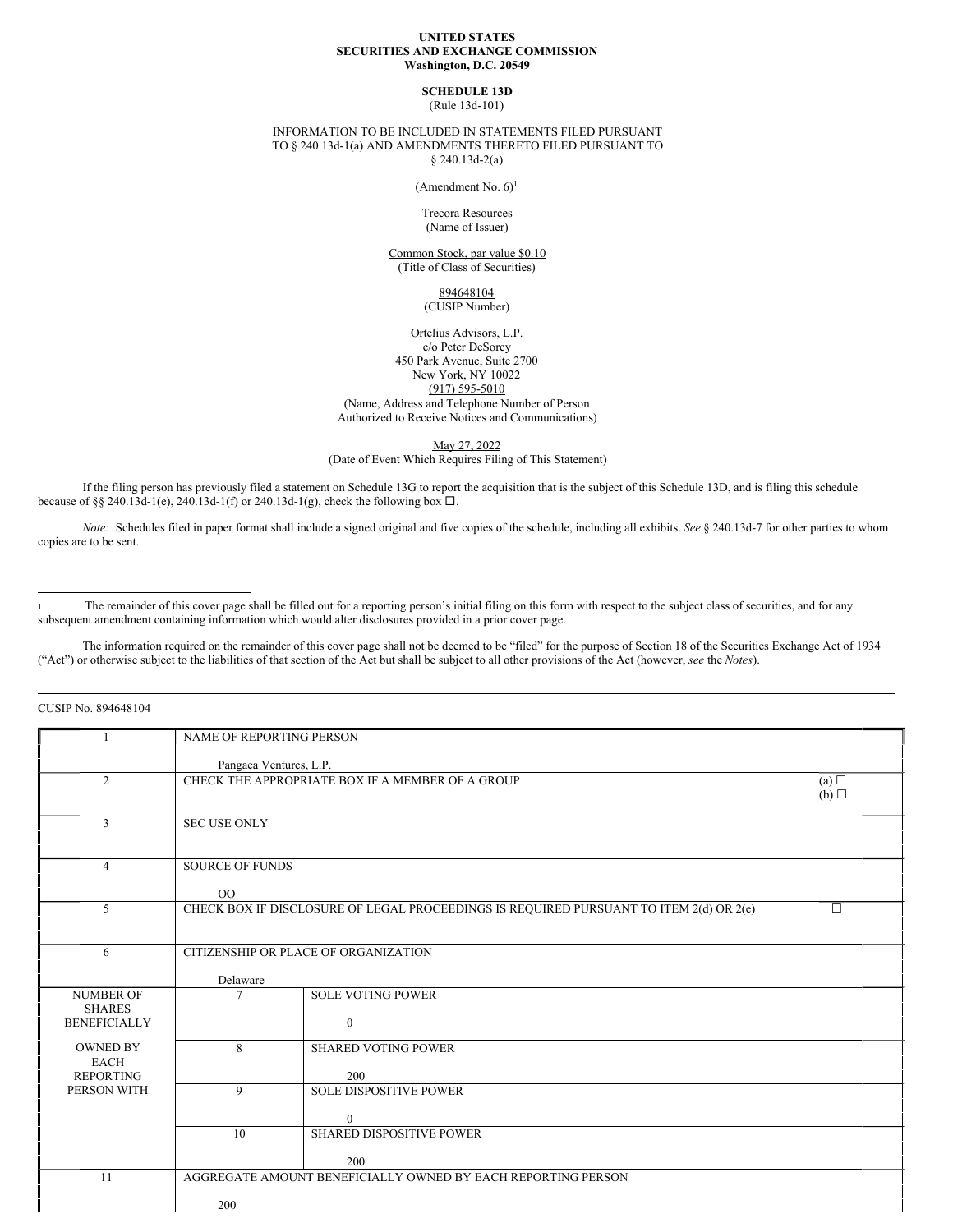#### **UNITED STATES SECURITIES AND EXCHANGE COMMISSION Washington, D.C. 20549**

# **SCHEDULE 13D**

(Rule 13d-101)

INFORMATION TO BE INCLUDED IN STATEMENTS FILED PURSUANT TO § 240.13d-1(a) AND AMENDMENTS THERETO FILED PURSUANT TO § 240.13d-2(a)

(Amendment No. 6) 1

Trecora Resources (Name of Issuer)

Common Stock, par value \$0.10 (Title of Class of Securities)

## 894648104 (CUSIP Number)

Ortelius Advisors, L.P. c/o Peter DeSorcy 450 Park Avenue, Suite 2700 New York, NY 10022 (917) 595-5010 (Name, Address and Telephone Number of Person Authorized to Receive Notices and Communications)

May 27, 2022

(Date of Event Which Requires Filing of This Statement)

If the filing person has previously filed a statement on Schedule 13G to report the acquisition that is the subject of this Schedule 13D, and is filing this schedule because of §§ 240.13d-1(e), 240.13d-1(f) or 240.13d-1(g), check the following box  $\Box$ .

*Note:* Schedules filed in paper format shall include a signed original and five copies of the schedule, including all exhibits. *See* § 240.13d-7 for other parties to whom copies are to be sent.

The remainder of this cover page shall be filled out for a reporting person's initial filing on this form with respect to the subject class of securities, and for any subsequent amendment containing information which would alter disclosures provided in a prior cover page.

The information required on the remainder of this cover page shall not be deemed to be "filed" for the purpose of Section 18 of the Securities Exchange Act of 1934 ("Act") or otherwise subject to the liabilities of that section of the Act but shall be subject to all other provisions of the Act (however, *see* the *Notes*).

CUSIP No. 894648104

|                                      | NAME OF REPORTING PERSON             |                                                                                                  |     |  |
|--------------------------------------|--------------------------------------|--------------------------------------------------------------------------------------------------|-----|--|
|                                      | Pangaea Ventures, L.P.               |                                                                                                  |     |  |
| $\overline{2}$                       |                                      | CHECK THE APPROPRIATE BOX IF A MEMBER OF A GROUP                                                 | (a) |  |
|                                      |                                      |                                                                                                  | (b) |  |
| 3                                    | <b>SEC USE ONLY</b>                  |                                                                                                  |     |  |
|                                      |                                      |                                                                                                  |     |  |
| 4                                    | <b>SOURCE OF FUNDS</b>               |                                                                                                  |     |  |
|                                      | 00                                   |                                                                                                  |     |  |
| 5                                    |                                      | CHECK BOX IF DISCLOSURE OF LEGAL PROCEEDINGS IS REQUIRED PURSUANT TO ITEM 2(d) OR 2(e)<br>$\Box$ |     |  |
|                                      |                                      |                                                                                                  |     |  |
| 6                                    | CITIZENSHIP OR PLACE OF ORGANIZATION |                                                                                                  |     |  |
|                                      | Delaware                             |                                                                                                  |     |  |
| <b>NUMBER OF</b>                     |                                      | <b>SOLE VOTING POWER</b>                                                                         |     |  |
| <b>SHARES</b><br><b>BENEFICIALLY</b> |                                      | $\Omega$                                                                                         |     |  |
| <b>OWNED BY</b>                      | 8                                    | <b>SHARED VOTING POWER</b>                                                                       |     |  |
| <b>EACH</b>                          |                                      |                                                                                                  |     |  |
| <b>REPORTING</b><br>PERSON WITH      | 9                                    | 200<br><b>SOLE DISPOSITIVE POWER</b>                                                             |     |  |
|                                      |                                      |                                                                                                  |     |  |
|                                      | 10                                   | $\mathbf{0}$<br><b>SHARED DISPOSITIVE POWER</b>                                                  |     |  |
|                                      |                                      |                                                                                                  |     |  |
| 11                                   |                                      | 200<br>AGGREGATE AMOUNT BENEFICIALLY OWNED BY EACH REPORTING PERSON                              |     |  |
|                                      |                                      |                                                                                                  |     |  |
|                                      | 200                                  |                                                                                                  |     |  |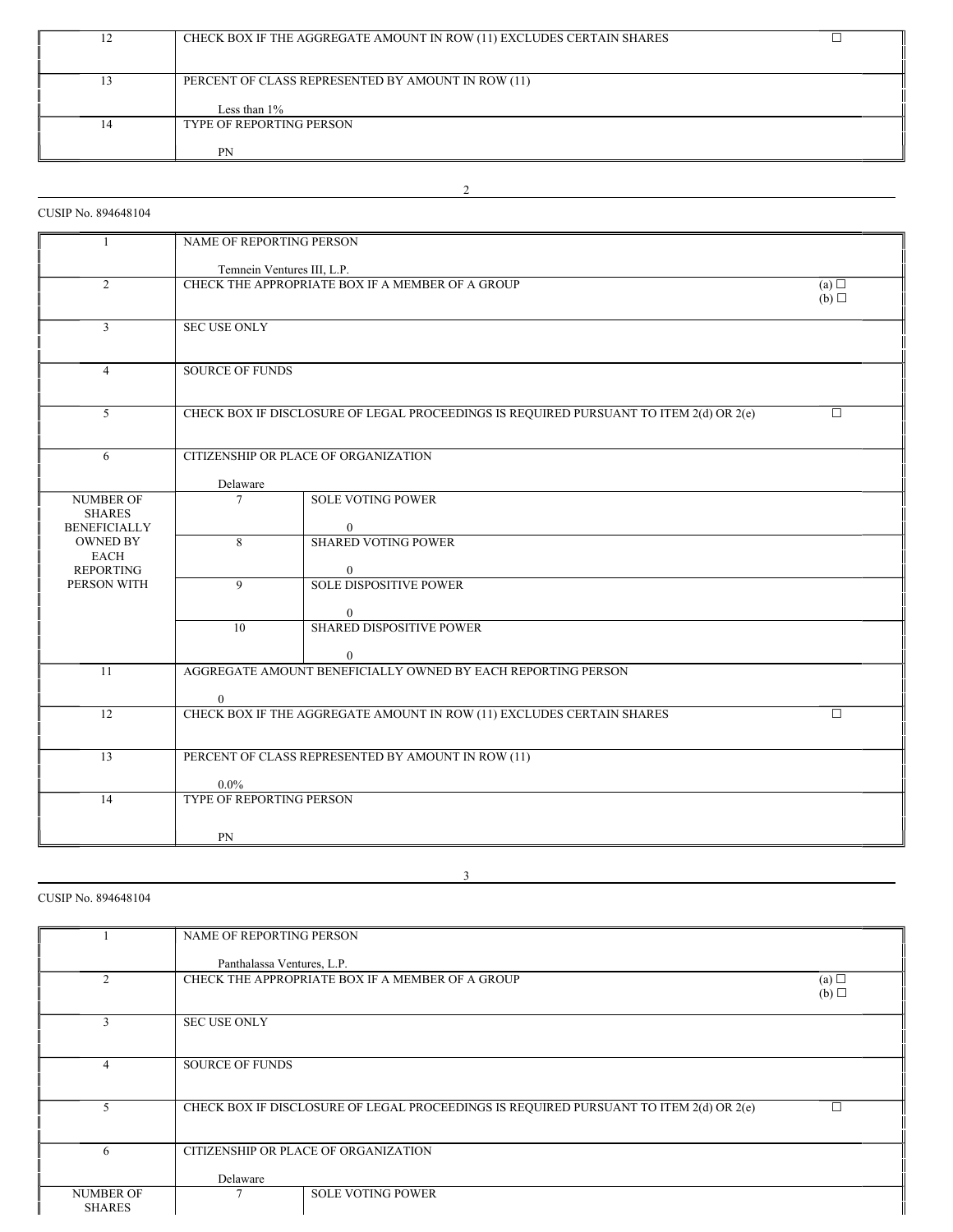|   | CHECK BOX IF THE AGGREGATE AMOUNT IN ROW (11) EXCLUDES CERTAIN SHARES |  |
|---|-----------------------------------------------------------------------|--|
|   |                                                                       |  |
|   | PERCENT OF CLASS REPRESENTED BY AMOUNT IN ROW (11)                    |  |
|   |                                                                       |  |
|   | Less than $1\%$                                                       |  |
| 4 | <b>TYPE OF REPORTING PERSON</b>                                       |  |
|   |                                                                       |  |
|   | PN                                                                    |  |

2

# CUSIP No. 894648104

| $\mathbf{1}$                      | NAME OF REPORTING PERSON                                                                          |                                                                                        |        |
|-----------------------------------|---------------------------------------------------------------------------------------------------|----------------------------------------------------------------------------------------|--------|
|                                   |                                                                                                   |                                                                                        |        |
|                                   | Temnein Ventures III, L.P.                                                                        |                                                                                        |        |
| $\overline{2}$                    | CHECK THE APPROPRIATE BOX IF A MEMBER OF A GROUP<br>(a)<br>(b)                                    |                                                                                        |        |
|                                   |                                                                                                   |                                                                                        |        |
| 3                                 | <b>SEC USE ONLY</b>                                                                               |                                                                                        |        |
|                                   |                                                                                                   |                                                                                        |        |
| $\overline{4}$                    | <b>SOURCE OF FUNDS</b>                                                                            |                                                                                        |        |
|                                   |                                                                                                   |                                                                                        |        |
|                                   |                                                                                                   |                                                                                        |        |
| $\overline{5}$                    |                                                                                                   | CHECK BOX IF DISCLOSURE OF LEGAL PROCEEDINGS IS REQUIRED PURSUANT TO ITEM 2(d) OR 2(e) | $\Box$ |
|                                   |                                                                                                   |                                                                                        |        |
| 6                                 |                                                                                                   | CITIZENSHIP OR PLACE OF ORGANIZATION                                                   |        |
|                                   |                                                                                                   |                                                                                        |        |
|                                   | Delaware                                                                                          |                                                                                        |        |
| <b>NUMBER OF</b><br><b>SHARES</b> | 7                                                                                                 | <b>SOLE VOTING POWER</b>                                                               |        |
| <b>BENEFICIALLY</b>               |                                                                                                   | $\Omega$                                                                               |        |
| <b>OWNED BY</b>                   | 8                                                                                                 | <b>SHARED VOTING POWER</b>                                                             |        |
| <b>EACH</b><br><b>REPORTING</b>   |                                                                                                   | $\overline{0}$                                                                         |        |
| PERSON WITH                       | 9                                                                                                 | <b>SOLE DISPOSITIVE POWER</b>                                                          |        |
|                                   |                                                                                                   |                                                                                        |        |
|                                   |                                                                                                   | 0                                                                                      |        |
|                                   | 10                                                                                                | <b>SHARED DISPOSITIVE POWER</b>                                                        |        |
|                                   |                                                                                                   | $\mathbf{0}$                                                                           |        |
| 11                                | AGGREGATE AMOUNT BENEFICIALLY OWNED BY EACH REPORTING PERSON                                      |                                                                                        |        |
|                                   |                                                                                                   |                                                                                        |        |
| 12                                | $\overline{0}$<br>CHECK BOX IF THE AGGREGATE AMOUNT IN ROW (11) EXCLUDES CERTAIN SHARES<br>$\Box$ |                                                                                        |        |
|                                   |                                                                                                   |                                                                                        |        |
|                                   |                                                                                                   |                                                                                        |        |
| 13                                |                                                                                                   | PERCENT OF CLASS REPRESENTED BY AMOUNT IN ROW (11)                                     |        |
|                                   | $0.0\%$                                                                                           |                                                                                        |        |
| 14                                | <b>TYPE OF REPORTING PERSON</b>                                                                   |                                                                                        |        |
|                                   |                                                                                                   |                                                                                        |        |
|                                   | PN                                                                                                |                                                                                        |        |

# CUSIP No. 894648104

|                                   | NAME OF REPORTING PERSON   |                                                                                        |            |
|-----------------------------------|----------------------------|----------------------------------------------------------------------------------------|------------|
|                                   | Panthalassa Ventures, L.P. |                                                                                        |            |
| 2                                 |                            | CHECK THE APPROPRIATE BOX IF A MEMBER OF A GROUP                                       | (a)<br>(b) |
|                                   | <b>SEC USE ONLY</b>        |                                                                                        |            |
| 4                                 | <b>SOURCE OF FUNDS</b>     |                                                                                        |            |
| 5                                 |                            | CHECK BOX IF DISCLOSURE OF LEGAL PROCEEDINGS IS REQUIRED PURSUANT TO ITEM 2(d) OR 2(e) |            |
| 6                                 |                            | CITIZENSHIP OR PLACE OF ORGANIZATION                                                   |            |
|                                   | Delaware                   |                                                                                        |            |
| <b>NUMBER OF</b><br><b>SHARES</b> |                            | <b>SOLE VOTING POWER</b>                                                               |            |

3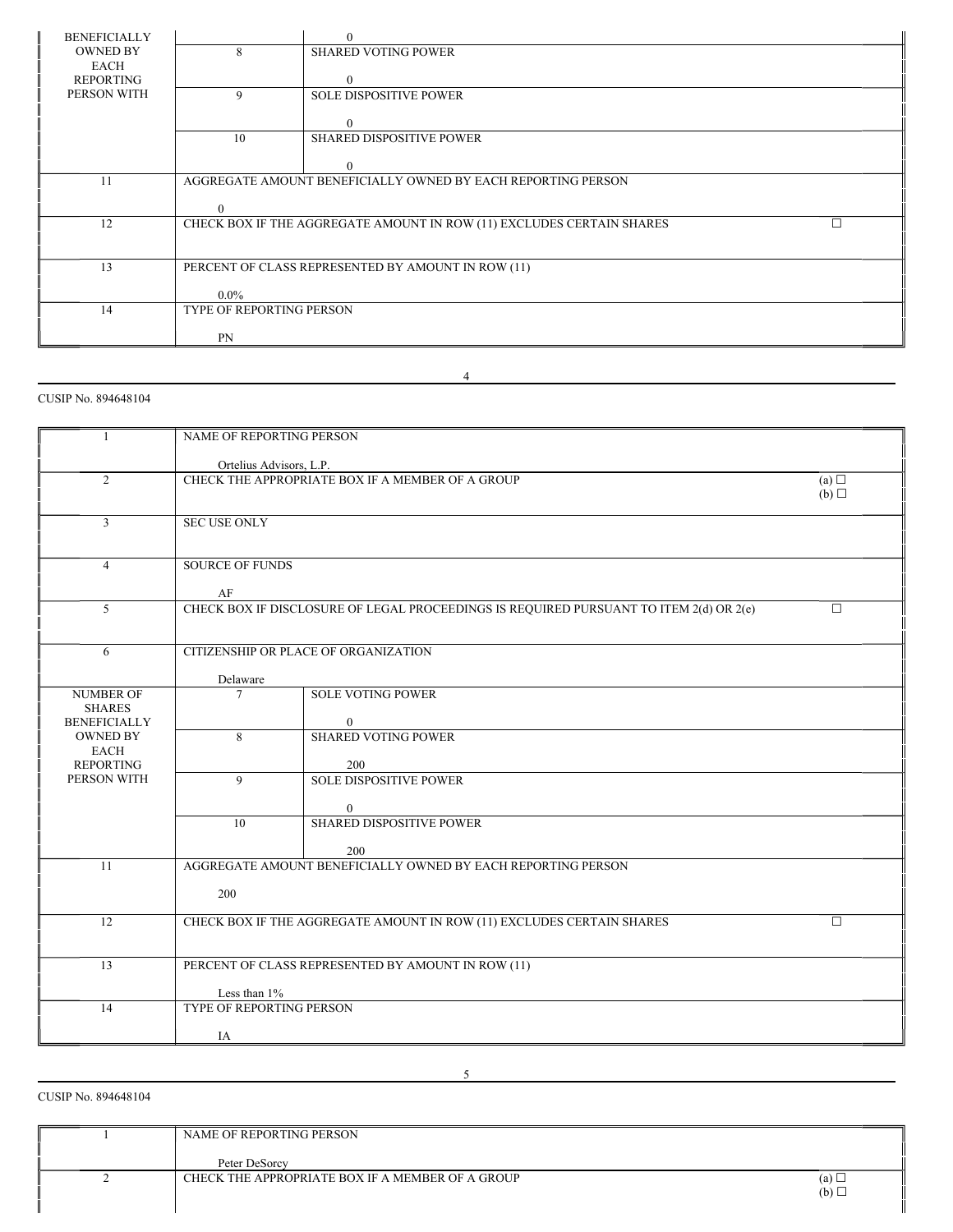| <b>BENEFICIALLY</b> |                          | $\Omega$                                                              |
|---------------------|--------------------------|-----------------------------------------------------------------------|
| <b>OWNED BY</b>     | 8                        | <b>SHARED VOTING POWER</b>                                            |
| <b>EACH</b>         |                          |                                                                       |
| REPORTING           |                          |                                                                       |
| PERSON WITH         | 9                        | <b>SOLE DISPOSITIVE POWER</b>                                         |
|                     |                          |                                                                       |
|                     |                          |                                                                       |
|                     | 10                       | <b>SHARED DISPOSITIVE POWER</b>                                       |
|                     |                          |                                                                       |
|                     |                          | $\Omega$                                                              |
| 11                  |                          | AGGREGATE AMOUNT BENEFICIALLY OWNED BY EACH REPORTING PERSON          |
|                     |                          |                                                                       |
|                     | $\Omega$                 |                                                                       |
| 12                  |                          | CHECK BOX IF THE AGGREGATE AMOUNT IN ROW (11) EXCLUDES CERTAIN SHARES |
|                     |                          |                                                                       |
|                     |                          |                                                                       |
| 13                  |                          | PERCENT OF CLASS REPRESENTED BY AMOUNT IN ROW (11)                    |
|                     | $0.0\%$                  |                                                                       |
| 14                  | TYPE OF REPORTING PERSON |                                                                       |
|                     |                          |                                                                       |
|                     | <b>PN</b>                |                                                                       |
|                     |                          |                                                                       |

4

# CUSIP No. 894648104

|                                                    | NAME OF REPORTING PERSON                                                                         |                                                                       |        |
|----------------------------------------------------|--------------------------------------------------------------------------------------------------|-----------------------------------------------------------------------|--------|
|                                                    | Ortelius Advisors, L.P.                                                                          |                                                                       |        |
| $\overline{c}$                                     | CHECK THE APPROPRIATE BOX IF A MEMBER OF A GROUP<br>(a)<br>(b)                                   |                                                                       |        |
| $\overline{3}$                                     | <b>SEC USE ONLY</b>                                                                              |                                                                       |        |
| $\overline{4}$                                     | <b>SOURCE OF FUNDS</b><br>AF                                                                     |                                                                       |        |
| 5                                                  | CHECK BOX IF DISCLOSURE OF LEGAL PROCEEDINGS IS REQUIRED PURSUANT TO ITEM 2(d) OR 2(e)<br>$\Box$ |                                                                       |        |
| 6                                                  | CITIZENSHIP OR PLACE OF ORGANIZATION<br>Delaware                                                 |                                                                       |        |
| <b>NUMBER OF</b>                                   | $\tau$                                                                                           | <b>SOLE VOTING POWER</b>                                              |        |
| <b>SHARES</b><br><b>BENEFICIALLY</b>               |                                                                                                  | $\Omega$                                                              |        |
| <b>OWNED BY</b><br><b>EACH</b><br><b>REPORTING</b> | 8                                                                                                | <b>SHARED VOTING POWER</b><br>200                                     |        |
| PERSON WITH                                        | $\mathbf{Q}$                                                                                     | <b>SOLE DISPOSITIVE POWER</b>                                         |        |
|                                                    |                                                                                                  | $\overline{0}$                                                        |        |
|                                                    | 10                                                                                               | <b>SHARED DISPOSITIVE POWER</b>                                       |        |
|                                                    |                                                                                                  | 200                                                                   |        |
| 11                                                 | AGGREGATE AMOUNT BENEFICIALLY OWNED BY EACH REPORTING PERSON                                     |                                                                       |        |
|                                                    | 200                                                                                              |                                                                       |        |
| $\overline{12}$                                    |                                                                                                  | CHECK BOX IF THE AGGREGATE AMOUNT IN ROW (11) EXCLUDES CERTAIN SHARES | $\Box$ |
| 13                                                 | PERCENT OF CLASS REPRESENTED BY AMOUNT IN ROW (11)                                               |                                                                       |        |
|                                                    | Less than 1%                                                                                     |                                                                       |        |
| 14                                                 | TYPE OF REPORTING PERSON                                                                         |                                                                       |        |
|                                                    | IA                                                                                               |                                                                       |        |

CUSIP No. 894648104

| NAME OF REPORTING PERSON                         |              |
|--------------------------------------------------|--------------|
| Peter DeSorcy                                    |              |
| CHECK THE APPROPRIATE BOX IF A MEMBER OF A GROUP | $(a)$ $\Box$ |
|                                                  | $(b)$ $\Box$ |

5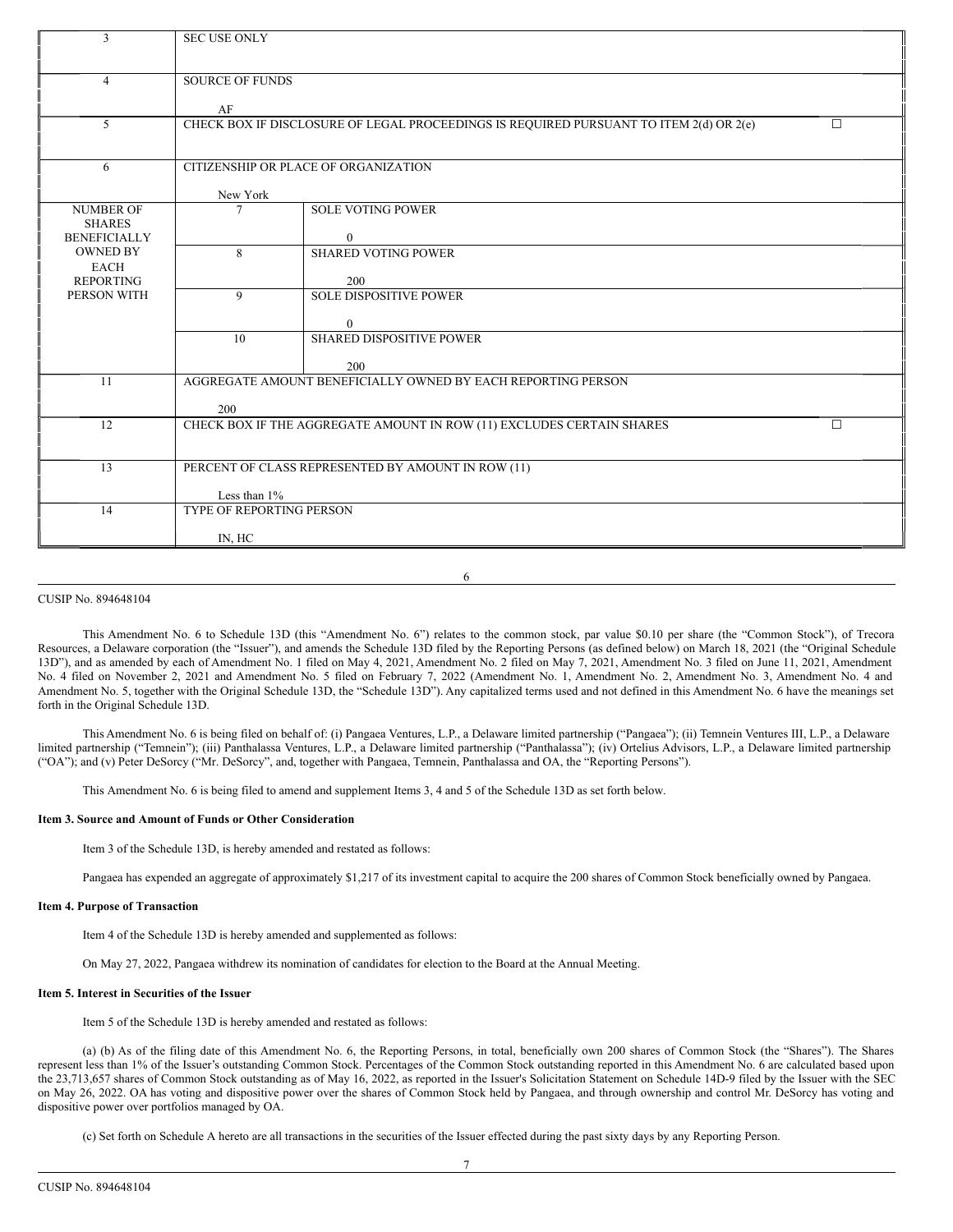| 3                                    | <b>SEC USE ONLY</b> |                                                                                        |   |  |
|--------------------------------------|---------------------|----------------------------------------------------------------------------------------|---|--|
|                                      |                     |                                                                                        |   |  |
| $\overline{4}$                       |                     | <b>SOURCE OF FUNDS</b>                                                                 |   |  |
|                                      | AF                  |                                                                                        |   |  |
| 5                                    |                     | CHECK BOX IF DISCLOSURE OF LEGAL PROCEEDINGS IS REQUIRED PURSUANT TO ITEM 2(d) OR 2(e) | П |  |
|                                      |                     |                                                                                        |   |  |
| 6                                    |                     | CITIZENSHIP OR PLACE OF ORGANIZATION                                                   |   |  |
|                                      | New York            |                                                                                        |   |  |
| <b>NUMBER OF</b>                     | 7                   | <b>SOLE VOTING POWER</b>                                                               |   |  |
| <b>SHARES</b><br><b>BENEFICIALLY</b> |                     | $\mathbf{0}$                                                                           |   |  |
| <b>OWNED BY</b>                      | 8                   | <b>SHARED VOTING POWER</b>                                                             |   |  |
| EACH                                 |                     |                                                                                        |   |  |
| <b>REPORTING</b><br>PERSON WITH      | $\mathbf{Q}$        | 200<br><b>SOLE DISPOSITIVE POWER</b>                                                   |   |  |
|                                      |                     |                                                                                        |   |  |
|                                      | 10                  | $\overline{0}$<br><b>SHARED DISPOSITIVE POWER</b>                                      |   |  |
|                                      |                     |                                                                                        |   |  |
| 11                                   |                     | 200<br>AGGREGATE AMOUNT BENEFICIALLY OWNED BY EACH REPORTING PERSON                    |   |  |
|                                      |                     |                                                                                        |   |  |
| 12                                   | 200                 | CHECK BOX IF THE AGGREGATE AMOUNT IN ROW (11) EXCLUDES CERTAIN SHARES                  | П |  |
|                                      |                     |                                                                                        |   |  |
| 13                                   |                     | PERCENT OF CLASS REPRESENTED BY AMOUNT IN ROW (11)                                     |   |  |
|                                      |                     |                                                                                        |   |  |
| 14                                   |                     | Less than $1\%$<br><b>TYPE OF REPORTING PERSON</b>                                     |   |  |
|                                      |                     |                                                                                        |   |  |
|                                      | IN, HC              |                                                                                        |   |  |

6

### CUSIP No. 894648104

This Amendment No. 6 to Schedule 13D (this "Amendment No. 6") relates to the common stock, par value \$0.10 per share (the "Common Stock"), of Trecora Resources, a Delaware corporation (the "Issuer"), and amends the Schedule 13D filed by the Reporting Persons (as defined below) on March 18, 2021 (the "Original Schedule 13D"), and as amended by each of Amendment No. 1 filed on May 4, 2021, Amendment No. 2 filed on May 7, 2021, Amendment No. 3 filed on June 11, 2021, Amendment No. 4 filed on November 2, 2021 and Amendment No. 5 filed on February 7, 2022 (Amendment No. 1, Amendment No. 2, Amendment No. 3, Amendment No. 4 and Amendment No. 5, together with the Original Schedule 13D, the "Schedule 13D"). Any capitalized terms used and not defined in this Amendment No. 6 have the meanings set forth in the Original Schedule 13D.

This Amendment No. 6 is being filed on behalf of: (i) Pangaea Ventures, L.P., a Delaware limited partnership ("Pangaea"); (ii) Temnein Ventures III, L.P., a Delaware limited partnership ("Temnein"); (iii) Panthalassa Ventures, L.P., a Delaware limited partnership ("Panthalassa"); (iv) Ortelius Advisors, L.P., a Delaware limited partnership ("OA"); and (v) Peter DeSorcy ("Mr. DeSorcy", and, together with Pangaea, Temnein, Panthalassa and OA, the "Reporting Persons").

This Amendment No. 6 is being filed to amend and supplement Items 3, 4 and 5 of the Schedule 13D as set forth below.

## **Item 3. Source and Amount of Funds or Other Consideration**

Item 3 of the Schedule 13D, is hereby amended and restated as follows:

Pangaea has expended an aggregate of approximately \$1,217 of its investment capital to acquire the 200 shares of Common Stock beneficially owned by Pangaea.

#### **Item 4. Purpose of Transaction**

Item 4 of the Schedule 13D is hereby amended and supplemented as follows:

On May 27, 2022, Pangaea withdrew its nomination of candidates for election to the Board at the Annual Meeting.

## **Item 5. Interest in Securities of the Issuer**

Item 5 of the Schedule 13D is hereby amended and restated as follows:

(a) (b) As of the filing date of this Amendment No. 6, the Reporting Persons, in total, beneficially own 200 shares of Common Stock (the "Shares"). The Shares represent less than 1% of the Issuer's outstanding Common Stock. Percentages of the Common Stock outstanding reported in this Amendment No. 6 are calculated based upon the 23,713,657 shares of Common Stock outstanding as of May 16, 2022, as reported in the Issuer's Solicitation Statement on Schedule 14D-9 filed by the Issuer with the SEC on May 26, 2022. OA has voting and dispositive power over the shares of Common Stock held by Pangaea, and through ownership and control Mr. DeSorcy has voting and dispositive power over portfolios managed by OA.

(c) Set forth on Schedule A hereto are all transactions in the securities of the Issuer effected during the past sixty days by any Reporting Person.